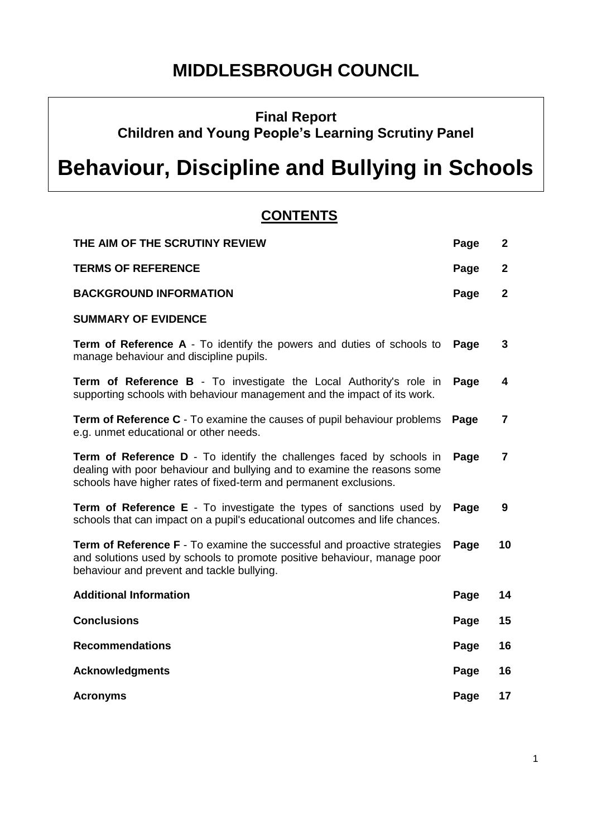## **MIDDLESBROUGH COUNCIL**

**Final Report** 

**Children and Young People's Learning Scrutiny Panel**

# **Behaviour, Discipline and Bullying in Schools**

### **CONTENTS**

| THE AIM OF THE SCRUTINY REVIEW                                                                                                                                                                                        | Page | $\mathbf{2}$ |
|-----------------------------------------------------------------------------------------------------------------------------------------------------------------------------------------------------------------------|------|--------------|
| <b>TERMS OF REFERENCE</b>                                                                                                                                                                                             | Page | $\mathbf{2}$ |
| <b>BACKGROUND INFORMATION</b>                                                                                                                                                                                         | Page | $\mathbf{2}$ |
| <b>SUMMARY OF EVIDENCE</b>                                                                                                                                                                                            |      |              |
| <b>Term of Reference A</b> - To identify the powers and duties of schools to<br>manage behaviour and discipline pupils.                                                                                               | Page | 3            |
| <b>Term of Reference B</b> - To investigate the Local Authority's role in<br>supporting schools with behaviour management and the impact of its work.                                                                 | Page | 4            |
| <b>Term of Reference C</b> - To examine the causes of pupil behaviour problems<br>e.g. unmet educational or other needs.                                                                                              | Page | 7            |
| Term of Reference D - To identify the challenges faced by schools in<br>dealing with poor behaviour and bullying and to examine the reasons some<br>schools have higher rates of fixed-term and permanent exclusions. | Page | 7            |
| Term of Reference E - To investigate the types of sanctions used by<br>schools that can impact on a pupil's educational outcomes and life chances.                                                                    | Page | 9            |
| <b>Term of Reference F</b> - To examine the successful and proactive strategies<br>and solutions used by schools to promote positive behaviour, manage poor<br>behaviour and prevent and tackle bullying.             | Page | 10           |
| <b>Additional Information</b>                                                                                                                                                                                         | Page | 14           |
| <b>Conclusions</b>                                                                                                                                                                                                    | Page | 15           |
| <b>Recommendations</b>                                                                                                                                                                                                | Page | 16           |
| <b>Acknowledgments</b>                                                                                                                                                                                                | Page | 16           |
| <b>Acronyms</b>                                                                                                                                                                                                       | Page | 17           |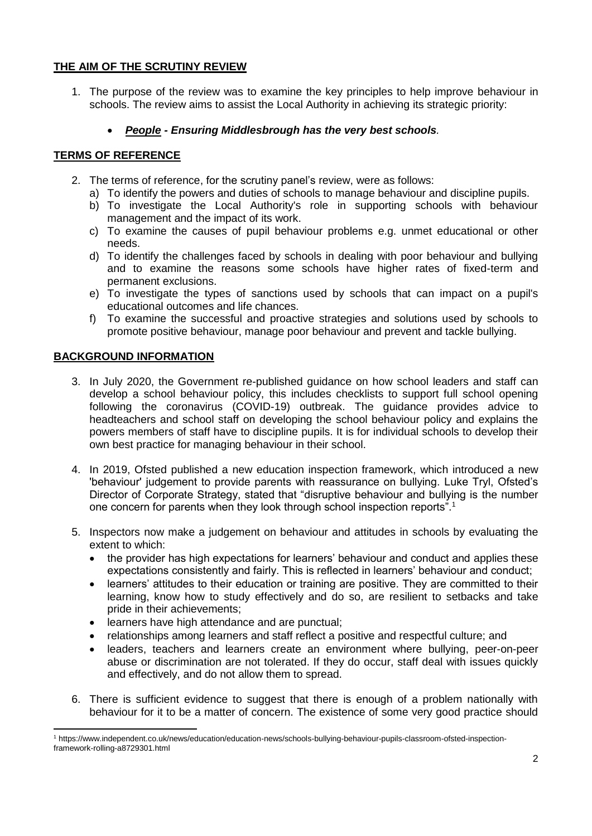#### **THE AIM OF THE SCRUTINY REVIEW**

1. The purpose of the review was to examine the key principles to help improve behaviour in schools. The review aims to assist the Local Authority in achieving its strategic priority:

#### *People - Ensuring Middlesbrough has the very best schools.*

#### **TERMS OF REFERENCE**

- 2. The terms of reference, for the scrutiny panel's review, were as follows:
	- a) To identify the powers and duties of schools to manage behaviour and discipline pupils.
	- b) To investigate the Local Authority's role in supporting schools with behaviour management and the impact of its work.
	- c) To examine the causes of pupil behaviour problems e.g. unmet educational or other needs.
	- d) To identify the challenges faced by schools in dealing with poor behaviour and bullying and to examine the reasons some schools have higher rates of fixed-term and permanent exclusions.
	- e) To investigate the types of sanctions used by schools that can impact on a pupil's educational outcomes and life chances.
	- f) To examine the successful and proactive strategies and solutions used by schools to promote positive behaviour, manage poor behaviour and prevent and tackle bullying.

#### **BACKGROUND INFORMATION**

- 3. In July 2020, the Government re-published guidance on how school leaders and staff can develop a school behaviour policy, this includes checklists to support full school opening following the coronavirus (COVID-19) outbreak. The guidance provides advice to headteachers and school staff on developing the school behaviour policy and explains the powers members of staff have to discipline pupils. It is for individual schools to develop their own best practice for managing behaviour in their school.
- 4. In 2019, Ofsted published a new education inspection framework, which introduced a new 'behaviour' judgement to provide parents with reassurance on bullying. Luke Tryl, Ofsted's Director of Corporate Strategy, stated that "disruptive behaviour and bullying is the number one concern for parents when they look through school inspection reports".<sup>1</sup>
- 5. Inspectors now make a judgement on behaviour and attitudes in schools by evaluating the extent to which:
	- the provider has high expectations for learners' behaviour and conduct and applies these expectations consistently and fairly. This is reflected in learners' behaviour and conduct;
	- learners' attitudes to their education or training are positive. They are committed to their learning, know how to study effectively and do so, are resilient to setbacks and take pride in their achievements;
	- learners have high attendance and are punctual;
	- relationships among learners and staff reflect a positive and respectful culture; and
	- leaders, teachers and learners create an environment where bullying, peer-on-peer abuse or discrimination are not tolerated. If they do occur, staff deal with issues quickly and effectively, and do not allow them to spread.
- 6. There is sufficient evidence to suggest that there is enough of a problem nationally with behaviour for it to be a matter of concern. The existence of some very good practice should

 $\overline{a}$ <sup>1</sup> https://www.independent.co.uk/news/education/education-news/schools-bullying-behaviour-pupils-classroom-ofsted-inspectionframework-rolling-a8729301.html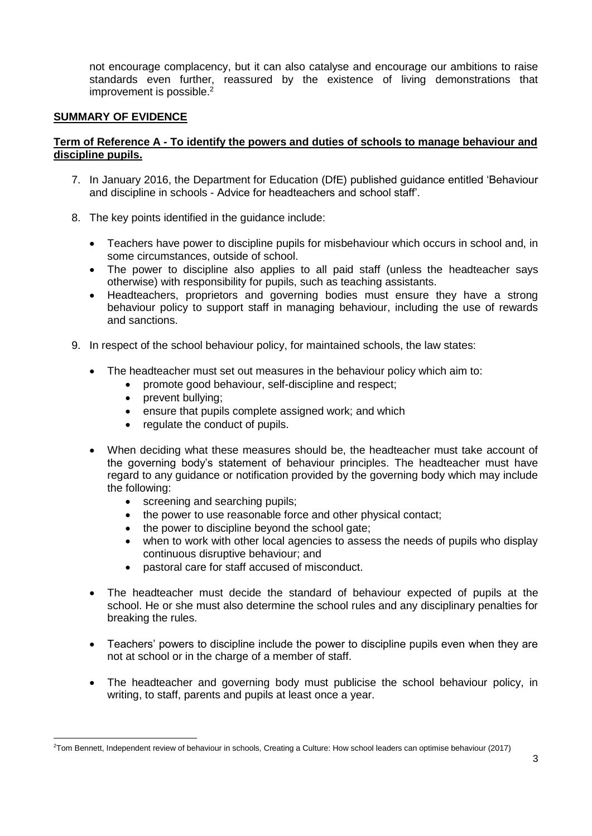not encourage complacency, but it can also catalyse and encourage our ambitions to raise standards even further, reassured by the existence of living demonstrations that improvement is possible.<sup>2</sup>

#### **SUMMARY OF EVIDENCE**

#### **Term of Reference A - To identify the powers and duties of schools to manage behaviour and discipline pupils.**

- 7. In January 2016, the Department for Education (DfE) published guidance entitled 'Behaviour and discipline in schools - Advice for headteachers and school staff'.
- 8. The key points identified in the guidance include:
	- Teachers have power to discipline pupils for misbehaviour which occurs in school and, in some circumstances, outside of school.
	- The power to discipline also applies to all paid staff (unless the headteacher says otherwise) with responsibility for pupils, such as teaching assistants.
	- Headteachers, proprietors and governing bodies must ensure they have a strong behaviour policy to support staff in managing behaviour, including the use of rewards and sanctions.
- 9. In respect of the school behaviour policy, for maintained schools, the law states:
	- The headteacher must set out measures in the behaviour policy which aim to:
		- promote good behaviour, self-discipline and respect;
		- prevent bullving:

**.** 

- ensure that pupils complete assigned work; and which
- regulate the conduct of pupils.
- When deciding what these measures should be, the headteacher must take account of the governing body's statement of behaviour principles. The headteacher must have regard to any guidance or notification provided by the governing body which may include the following:
	- screening and searching pupils:
	- the power to use reasonable force and other physical contact;
	- the power to discipline beyond the school gate;
	- when to work with other local agencies to assess the needs of pupils who display continuous disruptive behaviour; and
	- pastoral care for staff accused of misconduct.
- The headteacher must decide the standard of behaviour expected of pupils at the school. He or she must also determine the school rules and any disciplinary penalties for breaking the rules.
- Teachers' powers to discipline include the power to discipline pupils even when they are not at school or in the charge of a member of staff.
- The headteacher and governing body must publicise the school behaviour policy, in writing, to staff, parents and pupils at least once a year.

<sup>2</sup>Tom Bennett, Independent review of behaviour in schools, Creating a Culture: How school leaders can optimise behaviour (2017)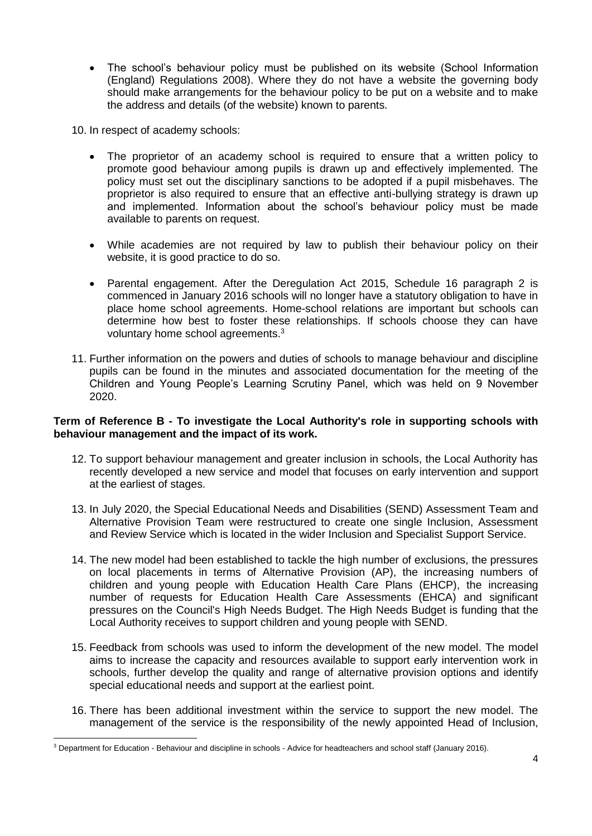• The school's behaviour policy must be published on its website (School Information (England) Regulations 2008). Where they do not have a website the governing body should make arrangements for the behaviour policy to be put on a website and to make the address and details (of the website) known to parents.

10. In respect of academy schools:

- The proprietor of an academy school is required to ensure that a written policy to promote good behaviour among pupils is drawn up and effectively implemented. The policy must set out the disciplinary sanctions to be adopted if a pupil misbehaves. The proprietor is also required to ensure that an effective anti-bullying strategy is drawn up and implemented. Information about the school's behaviour policy must be made available to parents on request.
- While academies are not required by law to publish their behaviour policy on their website, it is good practice to do so.
- Parental engagement. After the Deregulation Act 2015, Schedule 16 paragraph 2 is commenced in January 2016 schools will no longer have a statutory obligation to have in place home school agreements. Home-school relations are important but schools can determine how best to foster these relationships. If schools choose they can have voluntary home school agreements.<sup>3</sup>
- 11. Further information on the powers and duties of schools to manage behaviour and discipline pupils can be found in the minutes and associated documentation for the meeting of the Children and Young People's Learning Scrutiny Panel, which was held on 9 November 2020.

#### **Term of Reference B - To investigate the Local Authority's role in supporting schools with behaviour management and the impact of its work.**

- 12. To support behaviour management and greater inclusion in schools, the Local Authority has recently developed a new service and model that focuses on early intervention and support at the earliest of stages.
- 13. In July 2020, the Special Educational Needs and Disabilities (SEND) Assessment Team and Alternative Provision Team were restructured to create one single Inclusion, Assessment and Review Service which is located in the wider Inclusion and Specialist Support Service.
- 14. The new model had been established to tackle the high number of exclusions, the pressures on local placements in terms of Alternative Provision (AP), the increasing numbers of children and young people with Education Health Care Plans (EHCP), the increasing number of requests for Education Health Care Assessments (EHCA) and significant pressures on the Council's High Needs Budget. The High Needs Budget is funding that the Local Authority receives to support children and young people with SEND.
- 15. Feedback from schools was used to inform the development of the new model. The model aims to increase the capacity and resources available to support early intervention work in schools, further develop the quality and range of alternative provision options and identify special educational needs and support at the earliest point.
- 16. There has been additional investment within the service to support the new model. The management of the service is the responsibility of the newly appointed Head of Inclusion,

**.** 

<sup>&</sup>lt;sup>3</sup> Department for Education - Behaviour and discipline in schools - Advice for headteachers and school staff (January 2016).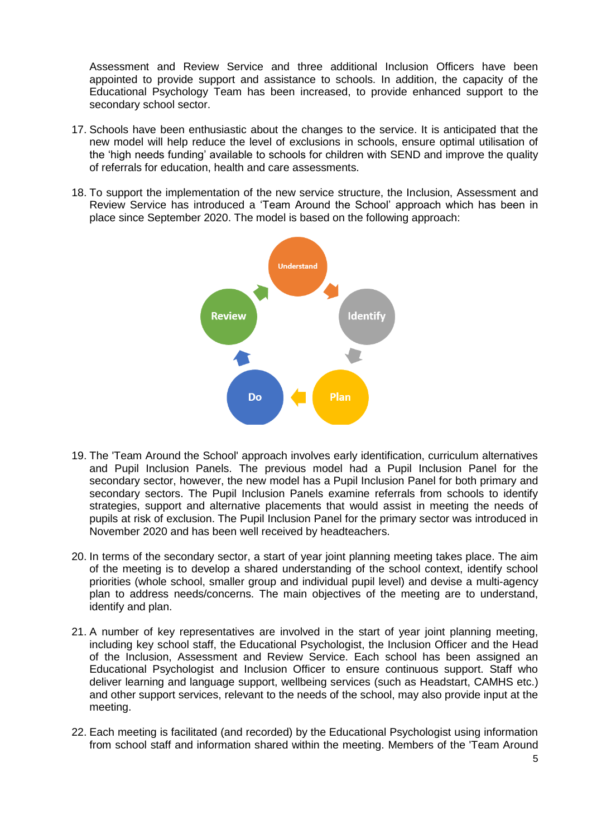Assessment and Review Service and three additional Inclusion Officers have been appointed to provide support and assistance to schools. In addition, the capacity of the Educational Psychology Team has been increased, to provide enhanced support to the secondary school sector.

- 17. Schools have been enthusiastic about the changes to the service. It is anticipated that the new model will help reduce the level of exclusions in schools, ensure optimal utilisation of the 'high needs funding' available to schools for children with SEND and improve the quality of referrals for education, health and care assessments.
- 18. To support the implementation of the new service structure, the Inclusion, Assessment and Review Service has introduced a 'Team Around the School' approach which has been in place since September 2020. The model is based on the following approach:



- 19. The 'Team Around the School' approach involves early identification, curriculum alternatives and Pupil Inclusion Panels. The previous model had a Pupil Inclusion Panel for the secondary sector, however, the new model has a Pupil Inclusion Panel for both primary and secondary sectors. The Pupil Inclusion Panels examine referrals from schools to identify strategies, support and alternative placements that would assist in meeting the needs of pupils at risk of exclusion. The Pupil Inclusion Panel for the primary sector was introduced in November 2020 and has been well received by headteachers.
- 20. In terms of the secondary sector, a start of year joint planning meeting takes place. The aim of the meeting is to develop a shared understanding of the school context, identify school priorities (whole school, smaller group and individual pupil level) and devise a multi-agency plan to address needs/concerns. The main objectives of the meeting are to understand, identify and plan.
- 21. A number of key representatives are involved in the start of year joint planning meeting, including key school staff, the Educational Psychologist, the Inclusion Officer and the Head of the Inclusion, Assessment and Review Service. Each school has been assigned an Educational Psychologist and Inclusion Officer to ensure continuous support. Staff who deliver learning and language support, wellbeing services (such as Headstart, CAMHS etc.) and other support services, relevant to the needs of the school, may also provide input at the meeting.
- 22. Each meeting is facilitated (and recorded) by the Educational Psychologist using information from school staff and information shared within the meeting. Members of the 'Team Around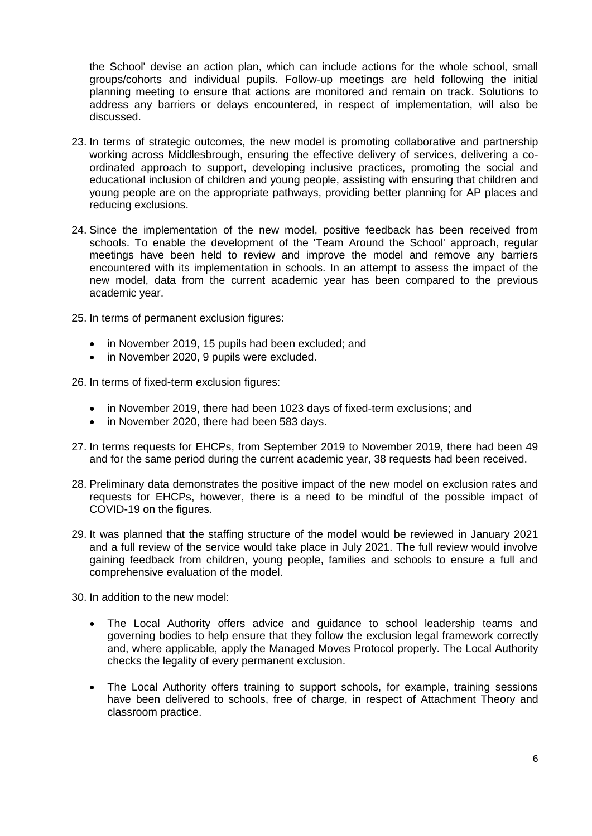the School' devise an action plan, which can include actions for the whole school, small groups/cohorts and individual pupils. Follow-up meetings are held following the initial planning meeting to ensure that actions are monitored and remain on track. Solutions to address any barriers or delays encountered, in respect of implementation, will also be discussed.

- 23. In terms of strategic outcomes, the new model is promoting collaborative and partnership working across Middlesbrough, ensuring the effective delivery of services, delivering a coordinated approach to support, developing inclusive practices, promoting the social and educational inclusion of children and young people, assisting with ensuring that children and young people are on the appropriate pathways, providing better planning for AP places and reducing exclusions.
- 24. Since the implementation of the new model, positive feedback has been received from schools. To enable the development of the 'Team Around the School' approach, regular meetings have been held to review and improve the model and remove any barriers encountered with its implementation in schools. In an attempt to assess the impact of the new model, data from the current academic year has been compared to the previous academic year.
- 25. In terms of permanent exclusion figures:
	- in November 2019, 15 pupils had been excluded; and
	- in November 2020, 9 pupils were excluded.

26. In terms of fixed-term exclusion figures:

- in November 2019, there had been 1023 days of fixed-term exclusions; and
- in November 2020, there had been 583 days.
- 27. In terms requests for EHCPs, from September 2019 to November 2019, there had been 49 and for the same period during the current academic year, 38 requests had been received.
- 28. Preliminary data demonstrates the positive impact of the new model on exclusion rates and requests for EHCPs, however, there is a need to be mindful of the possible impact of COVID-19 on the figures.
- 29. It was planned that the staffing structure of the model would be reviewed in January 2021 and a full review of the service would take place in July 2021. The full review would involve gaining feedback from children, young people, families and schools to ensure a full and comprehensive evaluation of the model.

30. In addition to the new model:

- The Local Authority offers advice and guidance to school leadership teams and governing bodies to help ensure that they follow the exclusion legal framework correctly and, where applicable, apply the Managed Moves Protocol properly. The Local Authority checks the legality of every permanent exclusion.
- The Local Authority offers training to support schools, for example, training sessions have been delivered to schools, free of charge, in respect of Attachment Theory and classroom practice.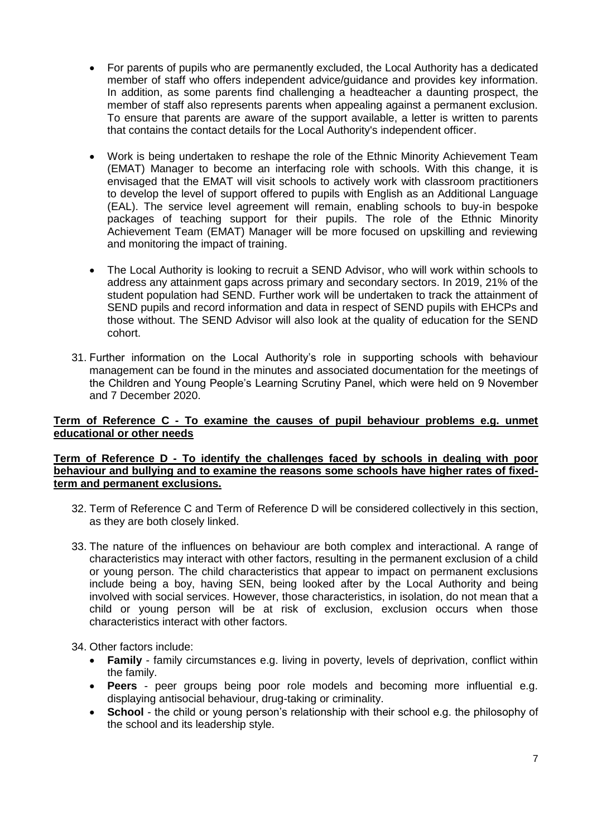- For parents of pupils who are permanently excluded, the Local Authority has a dedicated member of staff who offers independent advice/guidance and provides key information. In addition, as some parents find challenging a headteacher a daunting prospect, the member of staff also represents parents when appealing against a permanent exclusion. To ensure that parents are aware of the support available, a letter is written to parents that contains the contact details for the Local Authority's independent officer.
- Work is being undertaken to reshape the role of the Ethnic Minority Achievement Team (EMAT) Manager to become an interfacing role with schools. With this change, it is envisaged that the EMAT will visit schools to actively work with classroom practitioners to develop the level of support offered to pupils with English as an Additional Language (EAL). The service level agreement will remain, enabling schools to buy-in bespoke packages of teaching support for their pupils. The role of the Ethnic Minority Achievement Team (EMAT) Manager will be more focused on upskilling and reviewing and monitoring the impact of training.
- The Local Authority is looking to recruit a SEND Advisor, who will work within schools to address any attainment gaps across primary and secondary sectors. In 2019, 21% of the student population had SEND. Further work will be undertaken to track the attainment of SEND pupils and record information and data in respect of SEND pupils with EHCPs and those without. The SEND Advisor will also look at the quality of education for the SEND cohort.
- 31. Further information on the Local Authority's role in supporting schools with behaviour management can be found in the minutes and associated documentation for the meetings of the Children and Young People's Learning Scrutiny Panel, which were held on 9 November and 7 December 2020.

#### **Term of Reference C - To examine the causes of pupil behaviour problems e.g. unmet educational or other needs**

#### **Term of Reference D - To identify the challenges faced by schools in dealing with poor behaviour and bullying and to examine the reasons some schools have higher rates of fixedterm and permanent exclusions.**

- 32. Term of Reference C and Term of Reference D will be considered collectively in this section, as they are both closely linked.
- 33. The nature of the influences on behaviour are both complex and interactional. A range of characteristics may interact with other factors, resulting in the permanent exclusion of a child or young person. The child characteristics that appear to impact on permanent exclusions include being a boy, having SEN, being looked after by the Local Authority and being involved with social services. However, those characteristics, in isolation, do not mean that a child or young person will be at risk of exclusion, exclusion occurs when those characteristics interact with other factors.

34. Other factors include:

- **Family**  family circumstances e.g. living in poverty, levels of deprivation, conflict within the family.
- **Peers** peer groups being poor role models and becoming more influential e.g. displaying antisocial behaviour, drug-taking or criminality.
- **School** the child or young person's relationship with their school e.g. the philosophy of the school and its leadership style.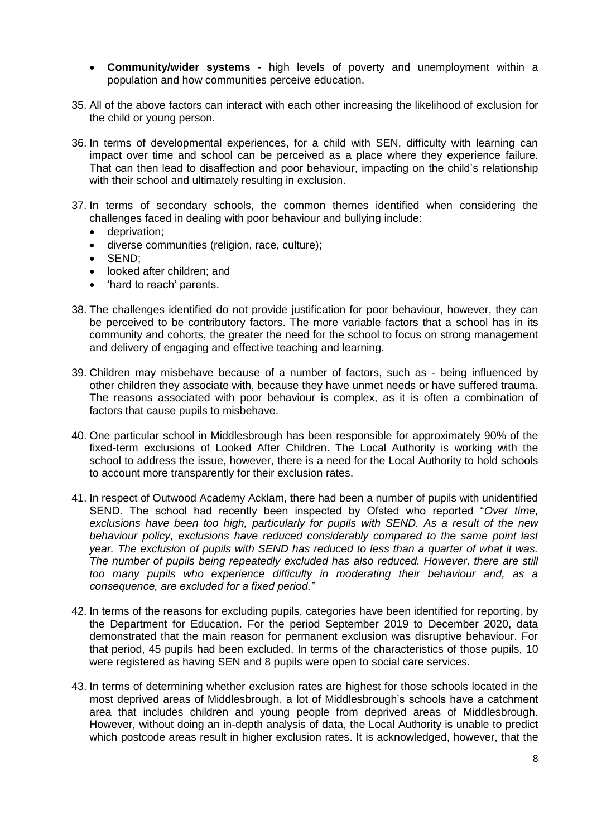- **Community/wider systems** high levels of poverty and unemployment within a population and how communities perceive education.
- 35. All of the above factors can interact with each other increasing the likelihood of exclusion for the child or young person.
- 36. In terms of developmental experiences, for a child with SEN, difficulty with learning can impact over time and school can be perceived as a place where they experience failure. That can then lead to disaffection and poor behaviour, impacting on the child's relationship with their school and ultimately resulting in exclusion.
- 37. In terms of secondary schools, the common themes identified when considering the challenges faced in dealing with poor behaviour and bullying include:
	- deprivation;
	- diverse communities (religion, race, culture);
	- SEND:
	- looked after children; and
	- 'hard to reach' parents.
- 38. The challenges identified do not provide justification for poor behaviour, however, they can be perceived to be contributory factors. The more variable factors that a school has in its community and cohorts, the greater the need for the school to focus on strong management and delivery of engaging and effective teaching and learning.
- 39. Children may misbehave because of a number of factors, such as being influenced by other children they associate with, because they have unmet needs or have suffered trauma. The reasons associated with poor behaviour is complex, as it is often a combination of factors that cause pupils to misbehave.
- 40. One particular school in Middlesbrough has been responsible for approximately 90% of the fixed-term exclusions of Looked After Children. The Local Authority is working with the school to address the issue, however, there is a need for the Local Authority to hold schools to account more transparently for their exclusion rates.
- 41. In respect of Outwood Academy Acklam, there had been a number of pupils with unidentified SEND. The school had recently been inspected by Ofsted who reported "*Over time, exclusions have been too high, particularly for pupils with SEND. As a result of the new behaviour policy, exclusions have reduced considerably compared to the same point last year. The exclusion of pupils with SEND has reduced to less than a quarter of what it was. The number of pupils being repeatedly excluded has also reduced. However, there are still too many pupils who experience difficulty in moderating their behaviour and, as a consequence, are excluded for a fixed period."*
- 42. In terms of the reasons for excluding pupils, categories have been identified for reporting, by the Department for Education. For the period September 2019 to December 2020, data demonstrated that the main reason for permanent exclusion was disruptive behaviour. For that period, 45 pupils had been excluded. In terms of the characteristics of those pupils, 10 were registered as having SEN and 8 pupils were open to social care services.
- 43. In terms of determining whether exclusion rates are highest for those schools located in the most deprived areas of Middlesbrough, a lot of Middlesbrough's schools have a catchment area that includes children and young people from deprived areas of Middlesbrough. However, without doing an in-depth analysis of data, the Local Authority is unable to predict which postcode areas result in higher exclusion rates. It is acknowledged, however, that the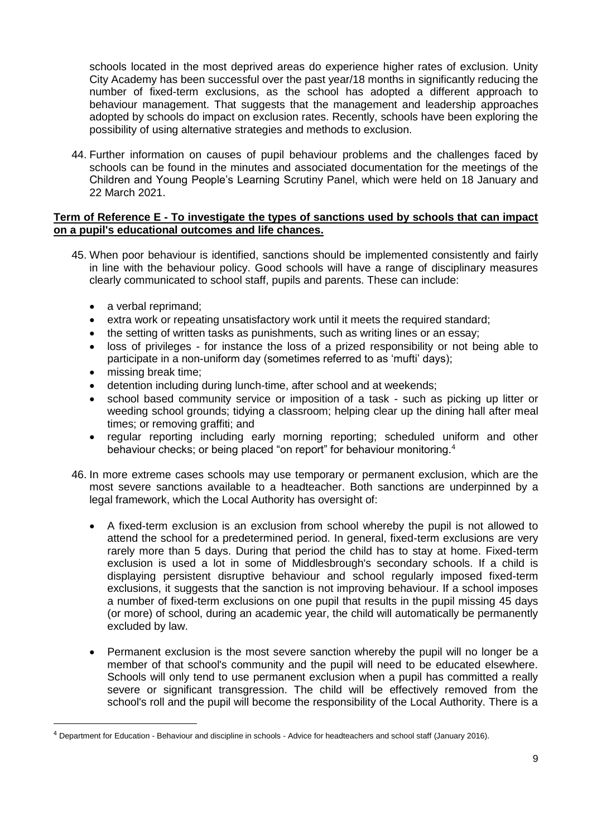schools located in the most deprived areas do experience higher rates of exclusion. Unity City Academy has been successful over the past year/18 months in significantly reducing the number of fixed-term exclusions, as the school has adopted a different approach to behaviour management. That suggests that the management and leadership approaches adopted by schools do impact on exclusion rates. Recently, schools have been exploring the possibility of using alternative strategies and methods to exclusion.

44. Further information on causes of pupil behaviour problems and the challenges faced by schools can be found in the minutes and associated documentation for the meetings of the Children and Young People's Learning Scrutiny Panel, which were held on 18 January and 22 March 2021.

#### **Term of Reference E - To investigate the types of sanctions used by schools that can impact on a pupil's educational outcomes and life chances.**

- 45. When poor behaviour is identified, sanctions should be implemented consistently and fairly in line with the behaviour policy. Good schools will have a range of disciplinary measures clearly communicated to school staff, pupils and parents. These can include:
	- a verbal reprimand;
	- extra work or repeating unsatisfactory work until it meets the required standard;
	- the setting of written tasks as punishments, such as writing lines or an essay;
	- loss of privileges for instance the loss of a prized responsibility or not being able to participate in a non-uniform day (sometimes referred to as 'mufti' days);
	- missing break time;

1

- detention including during lunch-time, after school and at weekends;
- school based community service or imposition of a task such as picking up litter or weeding school grounds; tidying a classroom; helping clear up the dining hall after meal times; or removing graffiti; and
- regular reporting including early morning reporting; scheduled uniform and other behaviour checks; or being placed "on report" for behaviour monitoring.<sup>4</sup>
- 46. In more extreme cases schools may use temporary or permanent exclusion, which are the most severe sanctions available to a headteacher. Both sanctions are underpinned by a legal framework, which the Local Authority has oversight of:
	- A fixed-term exclusion is an exclusion from school whereby the pupil is not allowed to attend the school for a predetermined period. In general, fixed-term exclusions are very rarely more than 5 days. During that period the child has to stay at home. Fixed-term exclusion is used a lot in some of Middlesbrough's secondary schools. If a child is displaying persistent disruptive behaviour and school regularly imposed fixed-term exclusions, it suggests that the sanction is not improving behaviour. If a school imposes a number of fixed-term exclusions on one pupil that results in the pupil missing 45 days (or more) of school, during an academic year, the child will automatically be permanently excluded by law.
	- Permanent exclusion is the most severe sanction whereby the pupil will no longer be a member of that school's community and the pupil will need to be educated elsewhere. Schools will only tend to use permanent exclusion when a pupil has committed a really severe or significant transgression. The child will be effectively removed from the school's roll and the pupil will become the responsibility of the Local Authority. There is a

<sup>&</sup>lt;sup>4</sup> Department for Education - Behaviour and discipline in schools - Advice for headteachers and school staff (January 2016).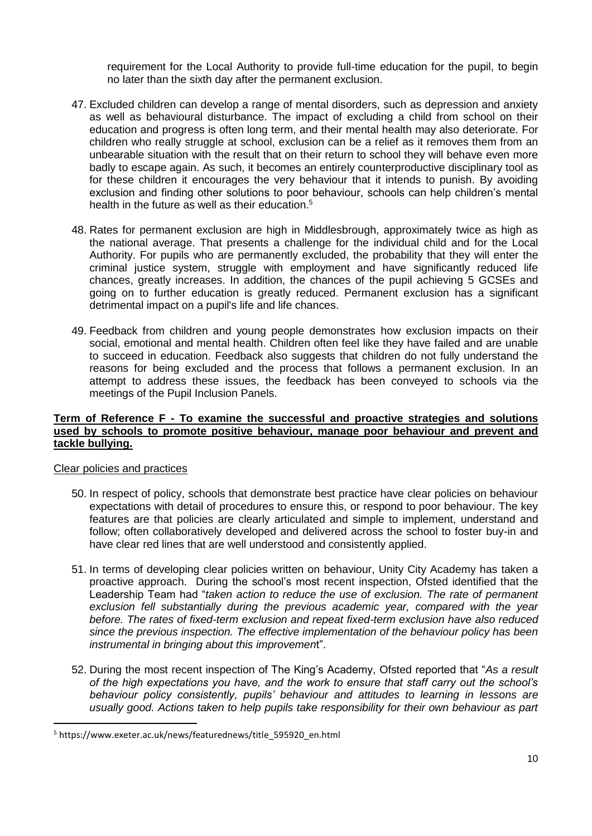requirement for the Local Authority to provide full-time education for the pupil, to begin no later than the sixth day after the permanent exclusion.

- 47. Excluded children can develop a range of mental disorders, such as depression and anxiety as well as behavioural disturbance. The impact of excluding a child from school on their education and progress is often long term, and their mental health may also deteriorate. For children who really struggle at school, exclusion can be a relief as it removes them from an unbearable situation with the result that on their return to school they will behave even more badly to escape again. As such, it becomes an entirely counterproductive disciplinary tool as for these children it encourages the very behaviour that it intends to punish. By avoiding exclusion and finding other solutions to poor behaviour, schools can help children's mental health in the future as well as their education.<sup>5</sup>
- 48. Rates for permanent exclusion are high in Middlesbrough, approximately twice as high as the national average. That presents a challenge for the individual child and for the Local Authority. For pupils who are permanently excluded, the probability that they will enter the criminal justice system, struggle with employment and have significantly reduced life chances, greatly increases. In addition, the chances of the pupil achieving 5 GCSEs and going on to further education is greatly reduced. Permanent exclusion has a significant detrimental impact on a pupil's life and life chances.
- 49. Feedback from children and young people demonstrates how exclusion impacts on their social, emotional and mental health. Children often feel like they have failed and are unable to succeed in education. Feedback also suggests that children do not fully understand the reasons for being excluded and the process that follows a permanent exclusion. In an attempt to address these issues, the feedback has been conveyed to schools via the meetings of the Pupil Inclusion Panels.

#### **Term of Reference F - To examine the successful and proactive strategies and solutions used by schools to promote positive behaviour, manage poor behaviour and prevent and tackle bullying.**

#### Clear policies and practices

1

- 50. In respect of policy, schools that demonstrate best practice have clear policies on behaviour expectations with detail of procedures to ensure this, or respond to poor behaviour. The key features are that policies are clearly articulated and simple to implement, understand and follow; often collaboratively developed and delivered across the school to foster buy-in and have clear red lines that are well understood and consistently applied.
- 51. In terms of developing clear policies written on behaviour, Unity City Academy has taken a proactive approach. During the school's most recent inspection, Ofsted identified that the Leadership Team had "*taken action to reduce the use of exclusion. The rate of permanent exclusion fell substantially during the previous academic year, compared with the year before. The rates of fixed-term exclusion and repeat fixed-term exclusion have also reduced since the previous inspection. The effective implementation of the behaviour policy has been instrumental in bringing about this improvemen*t".
- 52. During the most recent inspection of The King's Academy, Ofsted reported that "*As a result of the high expectations you have, and the work to ensure that staff carry out the school's behaviour policy consistently, pupils' behaviour and attitudes to learning in lessons are usually good. Actions taken to help pupils take responsibility for their own behaviour as part*

<sup>5</sup> https://www.exeter.ac.uk/news/featurednews/title\_595920\_en.html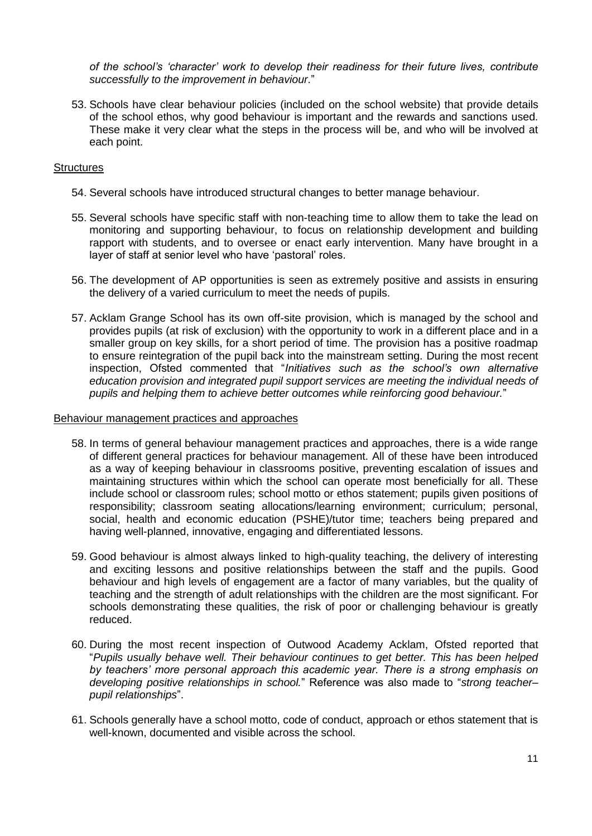*of the school's 'character' work to develop their readiness for their future lives, contribute successfully to the improvement in behaviour*."

53. Schools have clear behaviour policies (included on the school website) that provide details of the school ethos, why good behaviour is important and the rewards and sanctions used. These make it very clear what the steps in the process will be, and who will be involved at each point.

#### **Structures**

- 54. Several schools have introduced structural changes to better manage behaviour.
- 55. Several schools have specific staff with non-teaching time to allow them to take the lead on monitoring and supporting behaviour, to focus on relationship development and building rapport with students, and to oversee or enact early intervention. Many have brought in a layer of staff at senior level who have 'pastoral' roles.
- 56. The development of AP opportunities is seen as extremely positive and assists in ensuring the delivery of a varied curriculum to meet the needs of pupils.
- 57. Acklam Grange School has its own off-site provision, which is managed by the school and provides pupils (at risk of exclusion) with the opportunity to work in a different place and in a smaller group on key skills, for a short period of time. The provision has a positive roadmap to ensure reintegration of the pupil back into the mainstream setting. During the most recent inspection, Ofsted commented that "*Initiatives such as the school's own alternative education provision and integrated pupil support services are meeting the individual needs of pupils and helping them to achieve better outcomes while reinforcing good behaviour.*"

#### Behaviour management practices and approaches

- 58. In terms of general behaviour management practices and approaches, there is a wide range of different general practices for behaviour management. All of these have been introduced as a way of keeping behaviour in classrooms positive, preventing escalation of issues and maintaining structures within which the school can operate most beneficially for all. These include school or classroom rules; school motto or ethos statement; pupils given positions of responsibility; classroom seating allocations/learning environment; curriculum; personal, social, health and economic education (PSHE)/tutor time; teachers being prepared and having well-planned, innovative, engaging and differentiated lessons.
- 59. Good behaviour is almost always linked to high-quality teaching, the delivery of interesting and exciting lessons and positive relationships between the staff and the pupils. Good behaviour and high levels of engagement are a factor of many variables, but the quality of teaching and the strength of adult relationships with the children are the most significant. For schools demonstrating these qualities, the risk of poor or challenging behaviour is greatly reduced.
- 60. During the most recent inspection of Outwood Academy Acklam, Ofsted reported that "*Pupils usually behave well. Their behaviour continues to get better. This has been helped by teachers' more personal approach this academic year. There is a strong emphasis on developing positive relationships in school.*" Reference was also made to "*strong teacher– pupil relationships*".
- 61. Schools generally have a school motto, code of conduct, approach or ethos statement that is well-known, documented and visible across the school.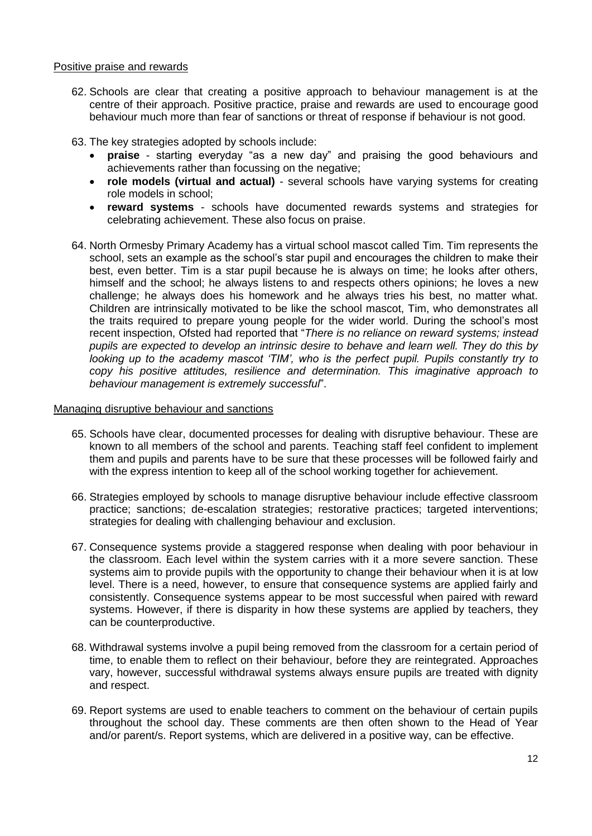#### Positive praise and rewards

62. Schools are clear that creating a positive approach to behaviour management is at the centre of their approach. Positive practice, praise and rewards are used to encourage good behaviour much more than fear of sanctions or threat of response if behaviour is not good.

63. The key strategies adopted by schools include:

- **praise** starting everyday "as a new day" and praising the good behaviours and achievements rather than focussing on the negative;
- **role models (virtual and actual)** several schools have varying systems for creating role models in school;
- **reward systems** schools have documented rewards systems and strategies for celebrating achievement. These also focus on praise.
- 64. North Ormesby Primary Academy has a virtual school mascot called Tim. Tim represents the school, sets an example as the school's star pupil and encourages the children to make their best, even better. Tim is a star pupil because he is always on time; he looks after others, himself and the school; he always listens to and respects others opinions; he loves a new challenge; he always does his homework and he always tries his best, no matter what. Children are intrinsically motivated to be like the school mascot, Tim, who demonstrates all the traits required to prepare young people for the wider world. During the school's most recent inspection, Ofsted had reported that "*There is no reliance on reward systems; instead pupils are expected to develop an intrinsic desire to behave and learn well. They do this by looking up to the academy mascot 'TIM', who is the perfect pupil. Pupils constantly try to copy his positive attitudes, resilience and determination. This imaginative approach to behaviour management is extremely successful*".

#### Managing disruptive behaviour and sanctions

- 65. Schools have clear, documented processes for dealing with disruptive behaviour. These are known to all members of the school and parents. Teaching staff feel confident to implement them and pupils and parents have to be sure that these processes will be followed fairly and with the express intention to keep all of the school working together for achievement.
- 66. Strategies employed by schools to manage disruptive behaviour include effective classroom practice; sanctions; de-escalation strategies; restorative practices; targeted interventions; strategies for dealing with challenging behaviour and exclusion.
- 67. Consequence systems provide a staggered response when dealing with poor behaviour in the classroom. Each level within the system carries with it a more severe sanction. These systems aim to provide pupils with the opportunity to change their behaviour when it is at low level. There is a need, however, to ensure that consequence systems are applied fairly and consistently. Consequence systems appear to be most successful when paired with reward systems. However, if there is disparity in how these systems are applied by teachers, they can be counterproductive.
- 68. Withdrawal systems involve a pupil being removed from the classroom for a certain period of time, to enable them to reflect on their behaviour, before they are reintegrated. Approaches vary, however, successful withdrawal systems always ensure pupils are treated with dignity and respect.
- 69. Report systems are used to enable teachers to comment on the behaviour of certain pupils throughout the school day. These comments are then often shown to the Head of Year and/or parent/s. Report systems, which are delivered in a positive way, can be effective.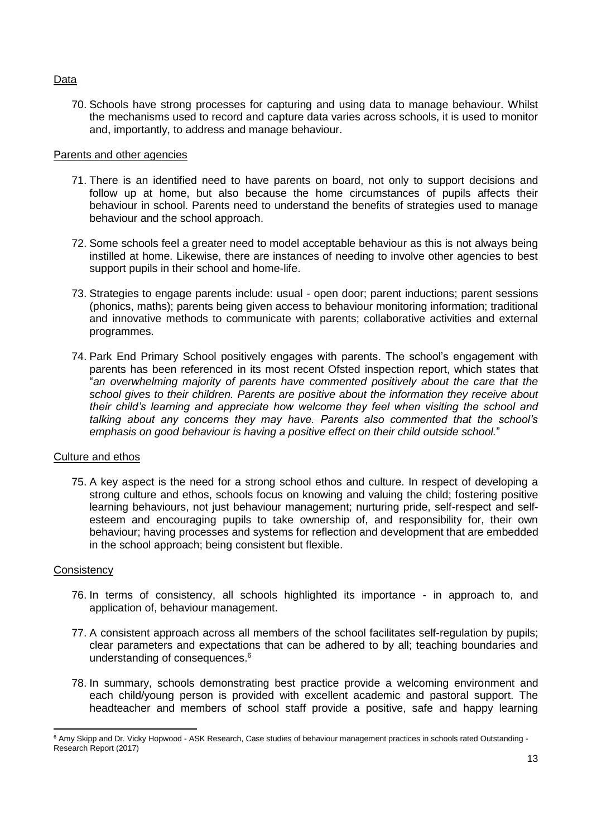#### **Data**

70. Schools have strong processes for capturing and using data to manage behaviour. Whilst the mechanisms used to record and capture data varies across schools, it is used to monitor and, importantly, to address and manage behaviour.

#### Parents and other agencies

- 71. There is an identified need to have parents on board, not only to support decisions and follow up at home, but also because the home circumstances of pupils affects their behaviour in school. Parents need to understand the benefits of strategies used to manage behaviour and the school approach.
- 72. Some schools feel a greater need to model acceptable behaviour as this is not always being instilled at home. Likewise, there are instances of needing to involve other agencies to best support pupils in their school and home-life.
- 73. Strategies to engage parents include: usual open door; parent inductions; parent sessions (phonics, maths); parents being given access to behaviour monitoring information; traditional and innovative methods to communicate with parents; collaborative activities and external programmes.
- 74. Park End Primary School positively engages with parents. The school's engagement with parents has been referenced in its most recent Ofsted inspection report, which states that "*an overwhelming majority of parents have commented positively about the care that the school gives to their children. Parents are positive about the information they receive about their child's learning and appreciate how welcome they feel when visiting the school and talking about any concerns they may have. Parents also commented that the school's emphasis on good behaviour is having a positive effect on their child outside school.*"

#### Culture and ethos

75. A key aspect is the need for a strong school ethos and culture. In respect of developing a strong culture and ethos, schools focus on knowing and valuing the child; fostering positive learning behaviours, not just behaviour management; nurturing pride, self-respect and selfesteem and encouraging pupils to take ownership of, and responsibility for, their own behaviour; having processes and systems for reflection and development that are embedded in the school approach; being consistent but flexible.

#### **Consistency**

- 76. In terms of consistency, all schools highlighted its importance in approach to, and application of, behaviour management.
- 77. A consistent approach across all members of the school facilitates self-regulation by pupils; clear parameters and expectations that can be adhered to by all; teaching boundaries and understanding of consequences.<sup>6</sup>
- 78. In summary, schools demonstrating best practice provide a welcoming environment and each child/young person is provided with excellent academic and pastoral support. The headteacher and members of school staff provide a positive, safe and happy learning

 $\overline{a}$ <sup>6</sup> Amy Skipp and Dr. Vicky Hopwood - ASK Research, Case studies of behaviour management practices in schools rated Outstanding -Research Report (2017)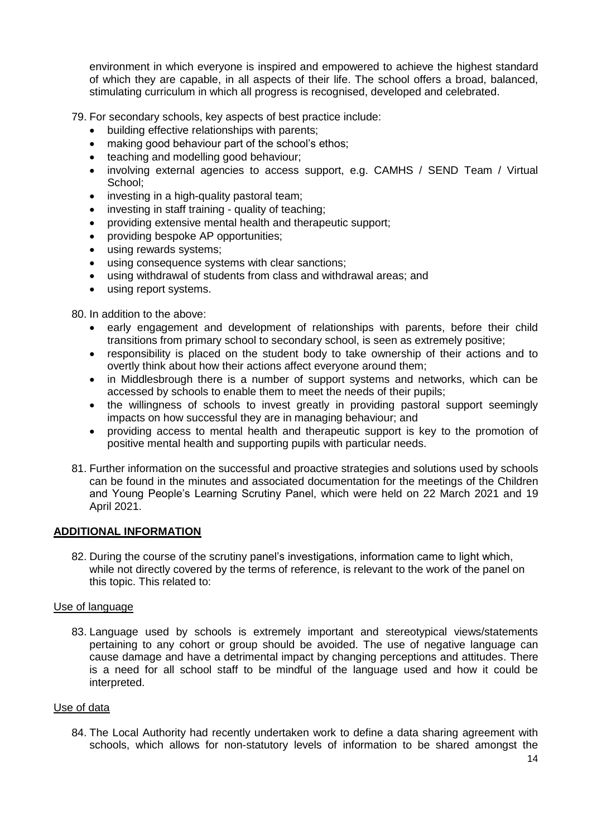environment in which everyone is inspired and empowered to achieve the highest standard of which they are capable, in all aspects of their life. The school offers a broad, balanced, stimulating curriculum in which all progress is recognised, developed and celebrated.

79. For secondary schools, key aspects of best practice include:

- building effective relationships with parents:
- making good behaviour part of the school's ethos;
- teaching and modelling good behaviour;
- involving external agencies to access support, e.g. CAMHS / SEND Team / Virtual School;
- investing in a high-quality pastoral team;
- investing in staff training quality of teaching;
- providing extensive mental health and therapeutic support;
- providing bespoke AP opportunities:
- using rewards systems;
- using consequence systems with clear sanctions;
- using withdrawal of students from class and withdrawal areas; and
- using report systems.

80. In addition to the above:

- early engagement and development of relationships with parents, before their child transitions from primary school to secondary school, is seen as extremely positive;
- responsibility is placed on the student body to take ownership of their actions and to overtly think about how their actions affect everyone around them;
- in Middlesbrough there is a number of support systems and networks, which can be accessed by schools to enable them to meet the needs of their pupils;
- the willingness of schools to invest greatly in providing pastoral support seemingly impacts on how successful they are in managing behaviour; and
- providing access to mental health and therapeutic support is key to the promotion of positive mental health and supporting pupils with particular needs.
- 81. Further information on the successful and proactive strategies and solutions used by schools can be found in the minutes and associated documentation for the meetings of the Children and Young People's Learning Scrutiny Panel, which were held on 22 March 2021 and 19 April 2021.

#### **ADDITIONAL INFORMATION**

82. During the course of the scrutiny panel's investigations, information came to light which, while not directly covered by the terms of reference, is relevant to the work of the panel on this topic. This related to:

#### Use of language

83. Language used by schools is extremely important and stereotypical views/statements pertaining to any cohort or group should be avoided. The use of negative language can cause damage and have a detrimental impact by changing perceptions and attitudes. There is a need for all school staff to be mindful of the language used and how it could be interpreted.

#### Use of data

84. The Local Authority had recently undertaken work to define a data sharing agreement with schools, which allows for non-statutory levels of information to be shared amongst the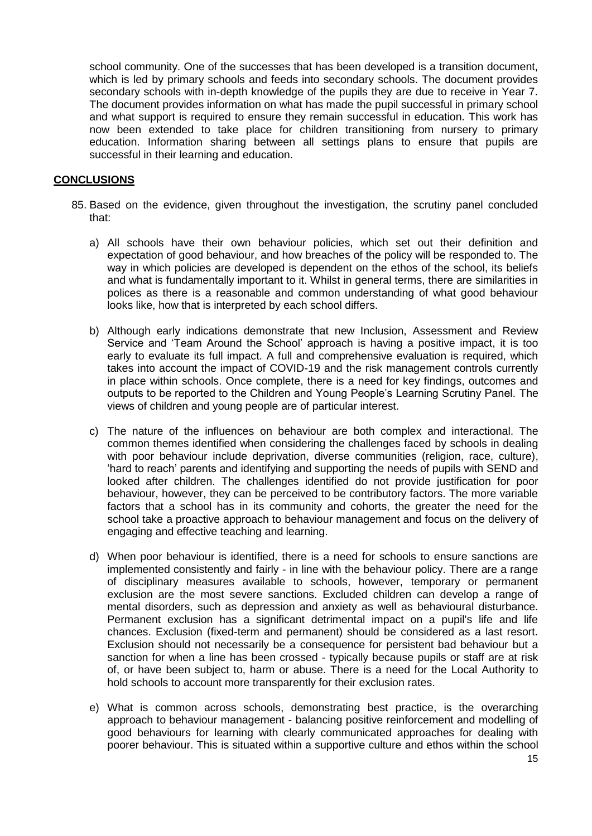school community. One of the successes that has been developed is a transition document, which is led by primary schools and feeds into secondary schools. The document provides secondary schools with in-depth knowledge of the pupils they are due to receive in Year 7. The document provides information on what has made the pupil successful in primary school and what support is required to ensure they remain successful in education. This work has now been extended to take place for children transitioning from nursery to primary education. Information sharing between all settings plans to ensure that pupils are successful in their learning and education.

#### **CONCLUSIONS**

- 85. Based on the evidence, given throughout the investigation, the scrutiny panel concluded that:
	- a) All schools have their own behaviour policies, which set out their definition and expectation of good behaviour, and how breaches of the policy will be responded to. The way in which policies are developed is dependent on the ethos of the school, its beliefs and what is fundamentally important to it. Whilst in general terms, there are similarities in polices as there is a reasonable and common understanding of what good behaviour looks like, how that is interpreted by each school differs.
	- b) Although early indications demonstrate that new Inclusion, Assessment and Review Service and 'Team Around the School' approach is having a positive impact, it is too early to evaluate its full impact. A full and comprehensive evaluation is required, which takes into account the impact of COVID-19 and the risk management controls currently in place within schools. Once complete, there is a need for key findings, outcomes and outputs to be reported to the Children and Young People's Learning Scrutiny Panel. The views of children and young people are of particular interest.
	- c) The nature of the influences on behaviour are both complex and interactional. The common themes identified when considering the challenges faced by schools in dealing with poor behaviour include deprivation, diverse communities (religion, race, culture), 'hard to reach' parents and identifying and supporting the needs of pupils with SEND and looked after children. The challenges identified do not provide justification for poor behaviour, however, they can be perceived to be contributory factors. The more variable factors that a school has in its community and cohorts, the greater the need for the school take a proactive approach to behaviour management and focus on the delivery of engaging and effective teaching and learning.
	- d) When poor behaviour is identified, there is a need for schools to ensure sanctions are implemented consistently and fairly - in line with the behaviour policy. There are a range of disciplinary measures available to schools, however, temporary or permanent exclusion are the most severe sanctions. Excluded children can develop a range of mental disorders, such as depression and anxiety as well as behavioural disturbance. Permanent exclusion has a significant detrimental impact on a pupil's life and life chances. Exclusion (fixed-term and permanent) should be considered as a last resort. Exclusion should not necessarily be a consequence for persistent bad behaviour but a sanction for when a line has been crossed - typically because pupils or staff are at risk of, or have been subject to, harm or abuse. There is a need for the Local Authority to hold schools to account more transparently for their exclusion rates.
	- e) What is common across schools, demonstrating best practice, is the overarching approach to behaviour management - balancing positive reinforcement and modelling of good behaviours for learning with clearly communicated approaches for dealing with poorer behaviour. This is situated within a supportive culture and ethos within the school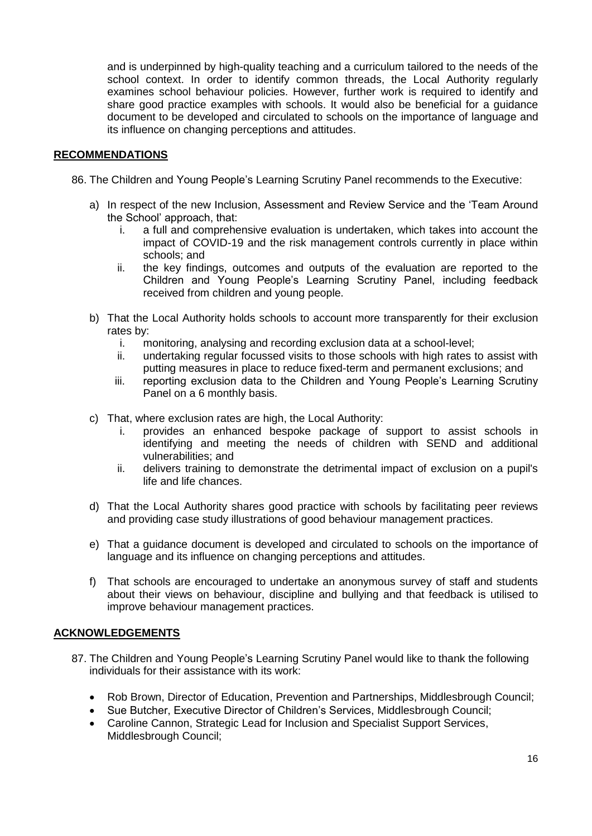and is underpinned by high-quality teaching and a curriculum tailored to the needs of the school context. In order to identify common threads, the Local Authority regularly examines school behaviour policies. However, further work is required to identify and share good practice examples with schools. It would also be beneficial for a guidance document to be developed and circulated to schools on the importance of language and its influence on changing perceptions and attitudes.

#### **RECOMMENDATIONS**

86. The Children and Young People's Learning Scrutiny Panel recommends to the Executive:

- a) In respect of the new Inclusion, Assessment and Review Service and the 'Team Around the School' approach, that:
	- i. a full and comprehensive evaluation is undertaken, which takes into account the impact of COVID-19 and the risk management controls currently in place within schools; and
	- ii. the key findings, outcomes and outputs of the evaluation are reported to the Children and Young People's Learning Scrutiny Panel, including feedback received from children and young people.
- b) That the Local Authority holds schools to account more transparently for their exclusion rates by:
	- i. monitoring, analysing and recording exclusion data at a school-level;
	- ii. undertaking regular focussed visits to those schools with high rates to assist with putting measures in place to reduce fixed-term and permanent exclusions; and
	- iii. reporting exclusion data to the Children and Young People's Learning Scrutiny Panel on a 6 monthly basis.
- c) That, where exclusion rates are high, the Local Authority:
	- i. provides an enhanced bespoke package of support to assist schools in identifying and meeting the needs of children with SEND and additional vulnerabilities; and
	- ii. delivers training to demonstrate the detrimental impact of exclusion on a pupil's life and life chances.
- d) That the Local Authority shares good practice with schools by facilitating peer reviews and providing case study illustrations of good behaviour management practices.
- e) That a guidance document is developed and circulated to schools on the importance of language and its influence on changing perceptions and attitudes.
- f) That schools are encouraged to undertake an anonymous survey of staff and students about their views on behaviour, discipline and bullying and that feedback is utilised to improve behaviour management practices.

#### **ACKNOWLEDGEMENTS**

- 87. The Children and Young People's Learning Scrutiny Panel would like to thank the following individuals for their assistance with its work:
	- Rob Brown, Director of Education, Prevention and Partnerships, Middlesbrough Council;
	- Sue Butcher, Executive Director of Children's Services, Middlesbrough Council;
	- Caroline Cannon, Strategic Lead for Inclusion and Specialist Support Services, Middlesbrough Council;